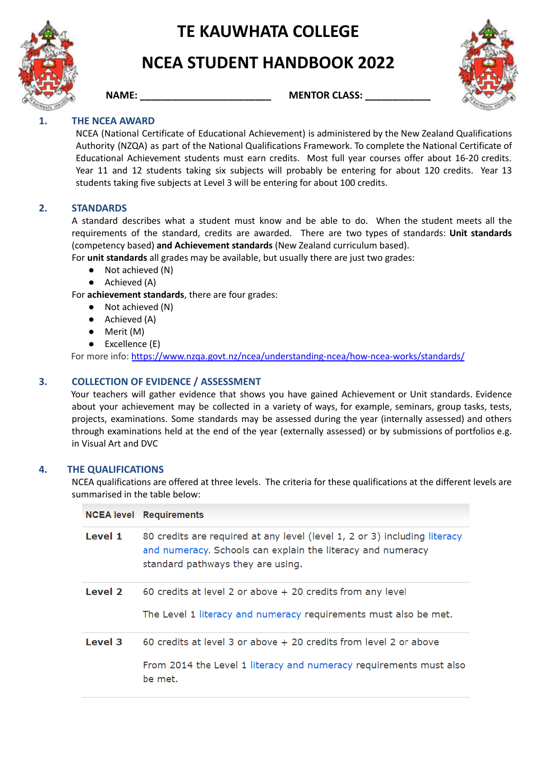

# **NCEA STUDENT HANDBOOK 2022**



**NAME: NAME: MENTOR CLASS:** 



# **1. THE NCEA AWARD**

NCEA (National Certificate of Educational Achievement) is administered by the New Zealand Qualifications Authority (NZQA) as part of the National Qualifications Framework. To complete the National Certificate of Educational Achievement students must earn credits. Most full year courses offer about 16-20 credits. Year 11 and 12 students taking six subjects will probably be entering for about 120 credits. Year 13 students taking five subjects at Level 3 will be entering for about 100 credits.

#### **2. STANDARDS**

A standard describes what a student must know and be able to do. When the student meets all the requirements of the standard, credits are awarded. There are two types of standards: **Unit standards** (competency based) **and Achievement standards** (New Zealand curriculum based).

For **unit standards** all grades may be available, but usually there are just two grades:

- Not achieved (N)
- Achieved (A)

For **achievement standards**, there are four grades:

- Not achieved (N)
- Achieved (A)
- Merit (M)
- Excellence (E)

For more info: <https://www.nzqa.govt.nz/ncea/understanding-ncea/how-ncea-works/standards/>

#### **3. COLLECTION OF EVIDENCE / ASSESSMENT**

Your teachers will gather evidence that shows you have gained Achievement or Unit standards. Evidence about your achievement may be collected in a variety of ways, for example, seminars, group tasks, tests, projects, examinations. Some standards may be assessed during the year (internally assessed) and others through examinations held at the end of the year (externally assessed) or by submissions of portfolios e.g. in Visual Art and DVC

#### **4. THE QUALIFICATIONS**

NCEA qualifications are offered at three levels. The criteria for these qualifications at the different levels are summarised in the table below:

|         | <b>NCEA level</b> Requirements                                                                                                                                                |
|---------|-------------------------------------------------------------------------------------------------------------------------------------------------------------------------------|
| Level 1 | 80 credits are required at any level (level 1, 2 or 3) including literacy<br>and numeracy. Schools can explain the literacy and numeracy<br>standard pathways they are using. |
| Level 2 | 60 credits at level 2 or above $+$ 20 credits from any level<br>The Level 1 literacy and numeracy requirements must also be met.                                              |
| Level 3 | 60 credits at level 3 or above + 20 credits from level 2 or above<br>From 2014 the Level 1 literacy and numeracy requirements must also<br>be met.                            |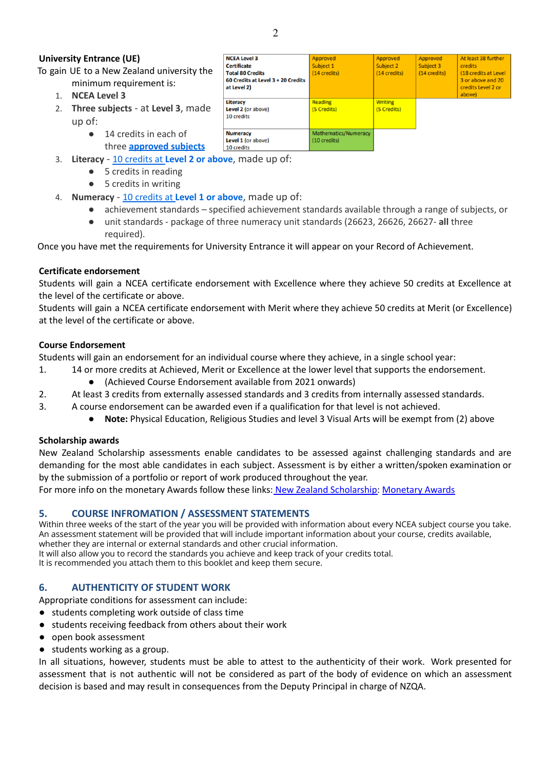#### **University Entrance (UE)**

To gain UE to a New Zealand university the

- minimum requirement is: 1. **NCEA Level 3**
- 2. **Three subjects** at **Level 3**, made up of:
	- 14 credits in each of
	- three **[approved](https://www.nzqa.govt.nz/qualifications-standards/awards/university-entrance/approved-subjects/) subjects**
- 3. **Literacy** 10 [credits](https://www.nzqa.govt.nz/qualifications-standards/awards/university-entrance/literacy-requirements/) at **Level 2 or above**, made up of:
	- 5 credits in reading
	- 5 credits in writing
- 4. **Numeracy** 10 [credits](https://www.nzqa.govt.nz/ncea/subjects/literacy-and-numeracy/level-1-requirements/lit-num-subjects/) at **Level 1 or above**, made up of:
	- achievement standards specified achievement standards available through a range of subjects, or
		- unit standards package of three numeracy unit standards (26623, 26626, 26627- **all** three required).

Once you have met the requirements for University Entrance it will appear on your Record of Achievement.

#### **Certificate endorsement**

Students will gain a NCEA certificate endorsement with Excellence where they achieve 50 credits at Excellence at the level of the certificate or above.

Students will gain a NCEA certificate endorsement with Merit where they achieve 50 credits at Merit (or Excellence) at the level of the certificate or above.

#### **Course Endorsement**

Students will gain an endorsement for an individual course where they achieve, in a single school year:

- 1. 14 or more credits at Achieved, Merit or Excellence at the lower level that supports the endorsement.
	- (Achieved Course Endorsement available from 2021 onwards)
- 2. At least 3 credits from externally assessed standards and 3 credits from internally assessed standards.
- 3. A course endorsement can be awarded even if a qualification for that level is not achieved.
	- Note: Physical Education, Religious Studies and level 3 Visual Arts will be exempt from (2) above

#### **Scholarship awards**

New Zealand Scholarship assessments enable candidates to be assessed against challenging standards and are demanding for the most able candidates in each subject. Assessment is by either a written/spoken examination or by the submission of a portfolio or report of work produced throughout the year.

For more info on the monetary Awards follow these links: New Zealand [Scholarship:](https://www.nzqa.govt.nz/qualifications-standards/awards/new-zealand-scholarship/) [Monetary](https://www.nzqa.govt.nz/about-us/our-role/legislation/nzqa-rules/assessment-including-examination-rules/7/2/1/) Awards

#### **5. COURSE INFROMATION / ASSESSMENT STATEMENTS**

Within three weeks of the start of the year you will be provided with information about every NCEA subject course you take. An assessment statement will be provided that will include important information about your course, credits available, whether they are internal or external standards and other crucial information.

It will also allow you to record the standards you achieve and keep track of your credits total.

It is recommended you attach them to this booklet and keep them secure.

#### **6. AUTHENTICITY OF STUDENT WORK**

Appropriate conditions for assessment can include:

- students completing work outside of class time
- students receiving feedback from others about their work
- open book assessment
- students working as a group.

In all situations, however, students must be able to attest to the authenticity of their work. Work presented for assessment that is not authentic will not be considered as part of the body of evidence on which an assessment decision is based and may result in consequences from the Deputy Principal in charge of NZQA.

| <b>NCEA Level 3</b>                | Approved             | Approved       | Approved     | At least 38 further          |
|------------------------------------|----------------------|----------------|--------------|------------------------------|
| <b>Certificate</b>                 | Subject 1            | Subject 2      | Subject 3    | <b>credits</b>               |
| <b>Total 80 Credits</b>            | (14 credits)         | (14 credits)   | (14 credits) | (18 credits at Level         |
| 60 Credits at Level 3 + 20 Credits |                      |                |              | 3 or above and 20            |
| at Level 2)                        |                      |                |              | credits Level 2 or<br>above) |
| Literacy                           | Reading              | <b>Writing</b> |              |                              |
| Level 2 (or above)                 | (5 Credits)          | (5 Credits)    |              |                              |
| 10 credits                         |                      |                |              |                              |
| <b>Numeracy</b>                    | Mathematics/Numeracy |                |              |                              |
| Level 1 (or above)                 | (10 credits)         |                |              |                              |
| 10 credits                         |                      |                |              |                              |
| $\sim$<br>$\sim$                   |                      |                |              |                              |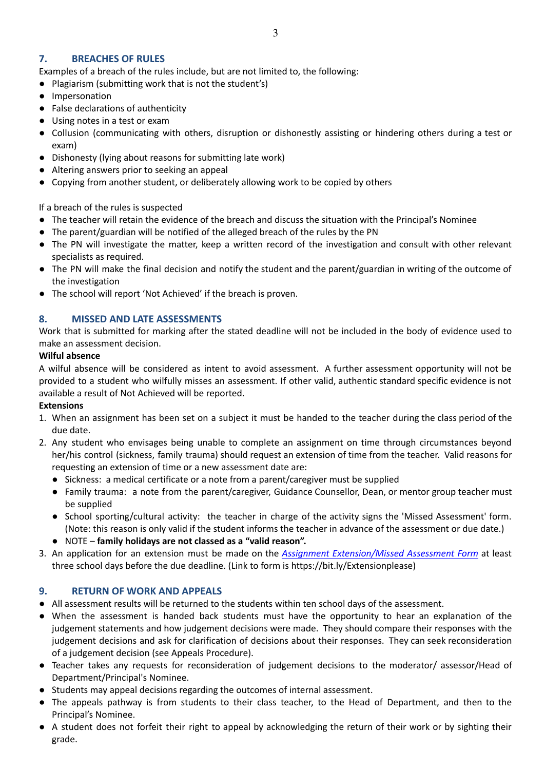## **7. BREACHES OF RULES**

Examples of a breach of the rules include, but are not limited to, the following:

- Plagiarism (submitting work that is not the student's)
- Impersonation
- False declarations of authenticity
- Using notes in a test or exam
- Collusion (communicating with others, disruption or dishonestly assisting or hindering others during a test or exam)
- Dishonesty (lying about reasons for submitting late work)
- Altering answers prior to seeking an appeal
- Copying from another student, or deliberately allowing work to be copied by others

If a breach of the rules is suspected

- The teacher will retain the evidence of the breach and discuss the situation with the Principal's Nominee
- The parent/guardian will be notified of the alleged breach of the rules by the PN
- The PN will investigate the matter, keep a [written](https://drive.google.com/open?id=1G4tIg2bArO6loKTOauKSiHSU930bDT1FB2a702FK8X8) record of the investigation and consult with other relevant specialists as required.
- The PN will make the final decision and notify the student and the parent/guardian in writing of the outcome of the investigation
- The school will report 'Not Achieved' if the breach is proven.

### **8. MISSED AND LATE ASSESSMENTS**

Work that is submitted for marking after the stated deadline will not be included in the body of evidence used to make an assessment decision.

#### **Wilful absence**

A wilful absence will be considered as intent to avoid assessment. A further assessment opportunity will not be provided to a student who wilfully misses an assessment. If other valid, authentic standard specific evidence is not available a result of Not Achieved will be reported.

#### **Extensions**

- 1. When an assignment has been set on a subject it must be handed to the teacher during the class period of the due date.
- 2. Any student who envisages being unable to complete an assignment on time through circumstances beyond her/his control (sickness, family trauma) should request an extension of time from the teacher. Valid reasons for requesting an extension of time or a new assessment date are:
	- Sickness: a medical certificate or a note from a parent/caregiver must be supplied
	- Family trauma: a note from the parent/caregiver, Guidance Counsellor, Dean, or mentor group teacher must be supplied
	- School sporting/cultural activity: the teacher in charge of the activity signs the 'Missed Assessment' form. (Note: this reason is only valid if the student informs the teacher in advance of the assessment or due date.)
	- NOTE **family holidays are not classed as a "valid reason".**
- 3. An application for an extension must be made on the *Assignment [Extension/Missed](https://docs.google.com/document/d/1NeJTxEnVjmR7aChm2Vptlz664o4qkXIhen3XDOe8Buc/edit) Assessment Form* at least three school days before the due deadline. (Link to form is https://bit.ly/Extensionplease)

#### **9. RETURN OF WORK AND APPEALS**

- All assessment results will be returned to the students within ten school days of the assessment.
- When the assessment is handed back students must have the opportunity to hear an explanation of the judgement statements and how judgement decisions were made. They should compare their responses with the judgement decisions and ask for clarification of decisions about their responses. They can seek reconsideration of a judgement decision (see Appeals Procedure).
- Teacher takes any requests for reconsideration of judgement decisions to the moderator/ assessor/Head of Department/Principal's Nominee.
- Students may appeal decisions regarding the outcomes of internal assessment.
- The appeals pathway is from students to their class teacher, to the Head of Department, and then to the Principal's Nominee.
- A student does not forfeit their right to appeal by acknowledging the return of their work or by sighting their grade.